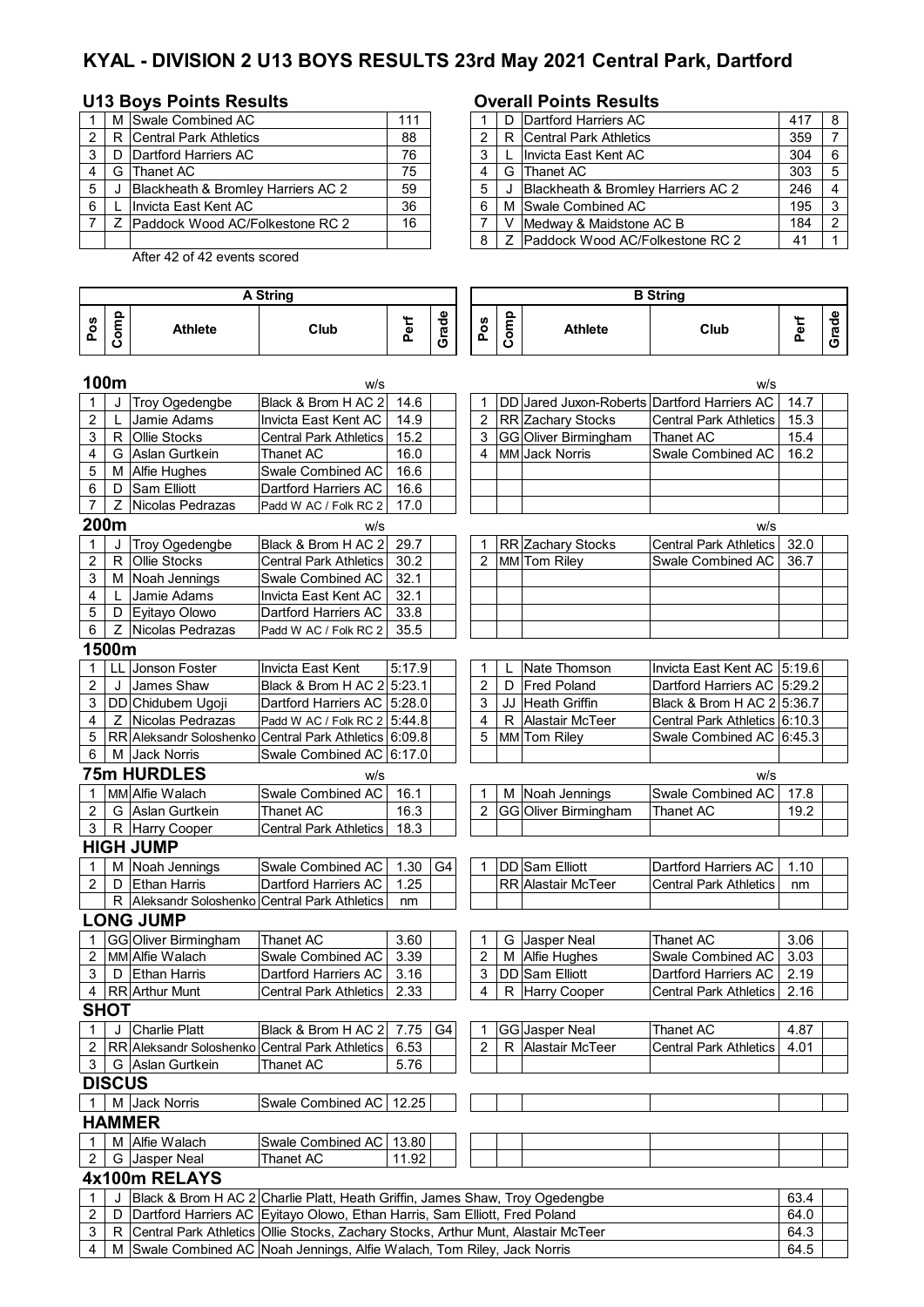# **KYAL - DIVISION 2 U13 BOYS RESULTS 23rd May 2021 Central Park, Dartford**

### U13 Boys Points Results **COVER 19 BOYS POINTS RESULTS**

|   |   | M Swale Combined AC                | 111 |  | D Dartford Harriers AC                                                                                                                                                                                                                                                                                                                                                               |
|---|---|------------------------------------|-----|--|--------------------------------------------------------------------------------------------------------------------------------------------------------------------------------------------------------------------------------------------------------------------------------------------------------------------------------------------------------------------------------------|
|   |   | R Central Park Athletics           | 88  |  | R Central Park Athletics                                                                                                                                                                                                                                                                                                                                                             |
|   |   | D Dartford Harriers AC             | 76  |  | . Invicta East Kent AC                                                                                                                                                                                                                                                                                                                                                               |
|   | G | Thanet AC                          | 75  |  | G Thanet AC                                                                                                                                                                                                                                                                                                                                                                          |
|   |   | Blackheath & Bromley Harriers AC 2 | 59  |  | J Blackheath & Bromley Harriers AC 2                                                                                                                                                                                                                                                                                                                                                 |
| 6 |   | Invicta East Kent AC               | 36  |  | M Swale Combined AC                                                                                                                                                                                                                                                                                                                                                                  |
|   |   | Z Paddock Wood AC/Folkestone RC 2  | 16  |  | Medway & Maidstone AC B                                                                                                                                                                                                                                                                                                                                                              |
|   |   |                                    |     |  | $\overline{a}$ $\overline{b}$ $\overline{a}$ $\overline{b}$ $\overline{a}$ $\overline{b}$ $\overline{a}$ $\overline{b}$ $\overline{a}$ $\overline{b}$ $\overline{a}$ $\overline{b}$ $\overline{a}$ $\overline{b}$ $\overline{a}$ $\overline{b}$ $\overline{a}$ $\overline{b}$ $\overline{a}$ $\overline{b}$ $\overline{a}$ $\overline{b}$ $\overline{a}$ $\overline{b}$ $\overline{$ |

After 42 of 42 events scored

### **Pos Comp Athlete Club Perf Grade Pos Comp** Athlete | Club **Perf Grade 100m** w/s w/s 1 J Troy Ogedengbe Black & Brom H AC 2 14.6 1 DD Jared Juxon-Roberts Dartford Harriers AC 14.7<br>2 L Jamie Adams 1nvicta East Kent AC 14.9 2 RR Zachary Stocks Central Park Athletics 15.3 2 | L Jamie Adams | Invicta East Kent AC | 14.9 | 2 | RR Zachary Stocks | Central Park Athletics | 15.3 3 R Ollie Stocks Central Park Athletics | 15.2 | | | 3 GG Oliver Birmingham | Thanet AC | 15.4 4 G Aslan Gurtkein Thanet AC 16.0 4 MM Jack Norris Swale Combined AC 16.2 5 M Alfie Hughes Swale Combined AC 16.6 6 | D Sam Elliott | Dartford Harriers AC | 16.6 7 Z Nicolas Pedrazas Padd W AC / Folk RC 2 17.0 **200m** w/s w/s 1 J Troy Ogedengbe Black & Brom H AC 2 29.7 | | | 1 | RR Zachary Stocks Central Park Athletics 32.0 2 R Ollie Stocks Central Park Athletics 30.2 | | | 2 MM Tom Riley Swale Combined AC 36.7 3 | M | Noah Jennings | Swale Combined AC | 32.1 4 | L Jamie Adams | Invicta East Kent AC | 32.1 5 | D | Eyitayo Olowo | Dartford Harriers AC | 33.8  $6$   $\overline{Z}$  Nicolas Pedrazas Padd W AC / Folk RC 2 35.5 **1500m** 1 LL Jonson Foster Invicta East Kent 5:17.9 1 L Nate Thomson Invicta East Kent AC 5:19.6 2 J James Shaw Black & Brom H AC 2 5:23.1 2 D Fred Poland Dartford Harriers AC 5:29.2<br>2 D Fred Poland Dartford Harriers AC 5:28.0 3 JJ Heath Griffin Black & Brom H AC 2 5:36.7 3 DD Chidubem Ugoji Dartford Harriers AC 5:28.0 3 JJ Heath Griffin Black & Brom H AC 2 5:36.7 4 Z Nicolas Pedrazas Padd W AC / Folk RC 2 5:44.8 4 R Alastair McTeer Central Park Athletics 6:10.3 5 RR Aleksandr Soloshenko Central Park Athletics 6:09.8 5 MM Tom Riley Swale Combined AC 6:45.3 6 M Jack Norris Swale Combined AC 6:17.0 **75m HURDLES** w/s w/s 1 MM Alfie Walach Swale Combined AC 16.1 1 M Noah Jennings Swale Combined AC 17.8 2 G Aslan Gurtkein Thanet AC 16.3 2 GG Oliver Birmingham Thanet AC 19.2 3 | R | Harry Cooper | Central Park Athletics | 18.3 **HIGH JUMP** 1 | M | Noah Jennings | Swale Combined AC | 1.30 | G4 | | 1 | DD | Sam Elliott | Dartford Harriers AC | 1.10 2 D Ethan Harris Dartford Harriers AC 1.25 | RR Alastair McTeer Central Park Athletics nm R Aleksandr Soloshenko Central Park Athletics nm **LONG JUMP** 1 GG Oliver Birmingham Thanet AC 3.60 1 G Jasper Neal Thanet AC 3.06 2 MM Alfie Walach Swale Combined AC 3.39 2 M Alfie Hughes Swale Combined AC 3.03 3 | D Ethan Harris | Dartford Harriers AC | 3.16 | | | 3 | DD Sam Elliott | Dartford Harriers AC | 2.19 4 RR Arthur Munt Central Park Athletics 2.33 4 R Harry Cooper Central Park Athletics 2.16 **SHOT**  1 | J Charlie Platt | Black & Brom H AC 2 | 7.75 | G4 | 1 | GG Jasper Neal | Thanet AC | 4.87 2 RR Aleksandr Soloshenko Central Park Athletics 6.53 2 R Alastair McTeer Central Park Athletics 4.01 3 | G | Aslan Gurtkein | Thanet AC | 5.76 **DISCUS** 1 | M Jack Norris Swale Combined AC | 12.25 **HAMMER** 1 M Alfie Walach Swale Combined AC 13.80 2 G Jasper Neal Thanet AC 11.92 **4x100m RELAYS** 1 | J |Black & Brom H AC 2|Charlie Platt, Heath Griffin, James Shaw, Troy Ogedengbe | 63.4 2 D Dartford Harriers AC 64.0 Eyitayo Olowo, Ethan Harris, Sam Elliott, Fred Poland **A String B String**

|  | $2 + 1$ D TDaritoru Harriers AG (Eyilayo Olowo, Ethan Harris, Jami Elliott, Freu Foland | <b>04.0</b> |
|--|-----------------------------------------------------------------------------------------|-------------|
|  | 3   R Central Park Athletics Ollie Stocks, Zachary Stocks, Arthur Munt, Alastair McTeer | 64.3        |
|  | 4 │ M │Swale Combined AC │Noah Jennings, Alfie Walach, Tom Riley, Jack Norris           | 64.5        |
|  |                                                                                         |             |

|     |       | M Swale Combined AC                    | 111 |  | D Dartford Harriers AC             | 417 |  |
|-----|-------|----------------------------------------|-----|--|------------------------------------|-----|--|
|     | 2 I R | <b>Central Park Athletics</b>          | 88  |  | R Central Park Athletics           | 359 |  |
| 3 I | D     | Dartford Harriers AC                   | 76  |  | Invicta East Kent AC               | 304 |  |
| 4   | G     | <b>Thanet AC</b>                       | 75  |  | G Thanet AC                        | 303 |  |
| 5   |       | Blackheath & Bromley Harriers AC 2     | 59  |  | Blackheath & Bromley Harriers AC 2 | 246 |  |
| 6   |       | Invicta East Kent AC                   | 36  |  | M Swale Combined AC                | 195 |  |
|     |       | <b>Paddock Wood AC/Folkestone RC 2</b> | 16  |  | Medway & Maidstone AC B            | 184 |  |
|     |       |                                        |     |  | Z Paddock Wood AC/Folkestone RC 2  | 41  |  |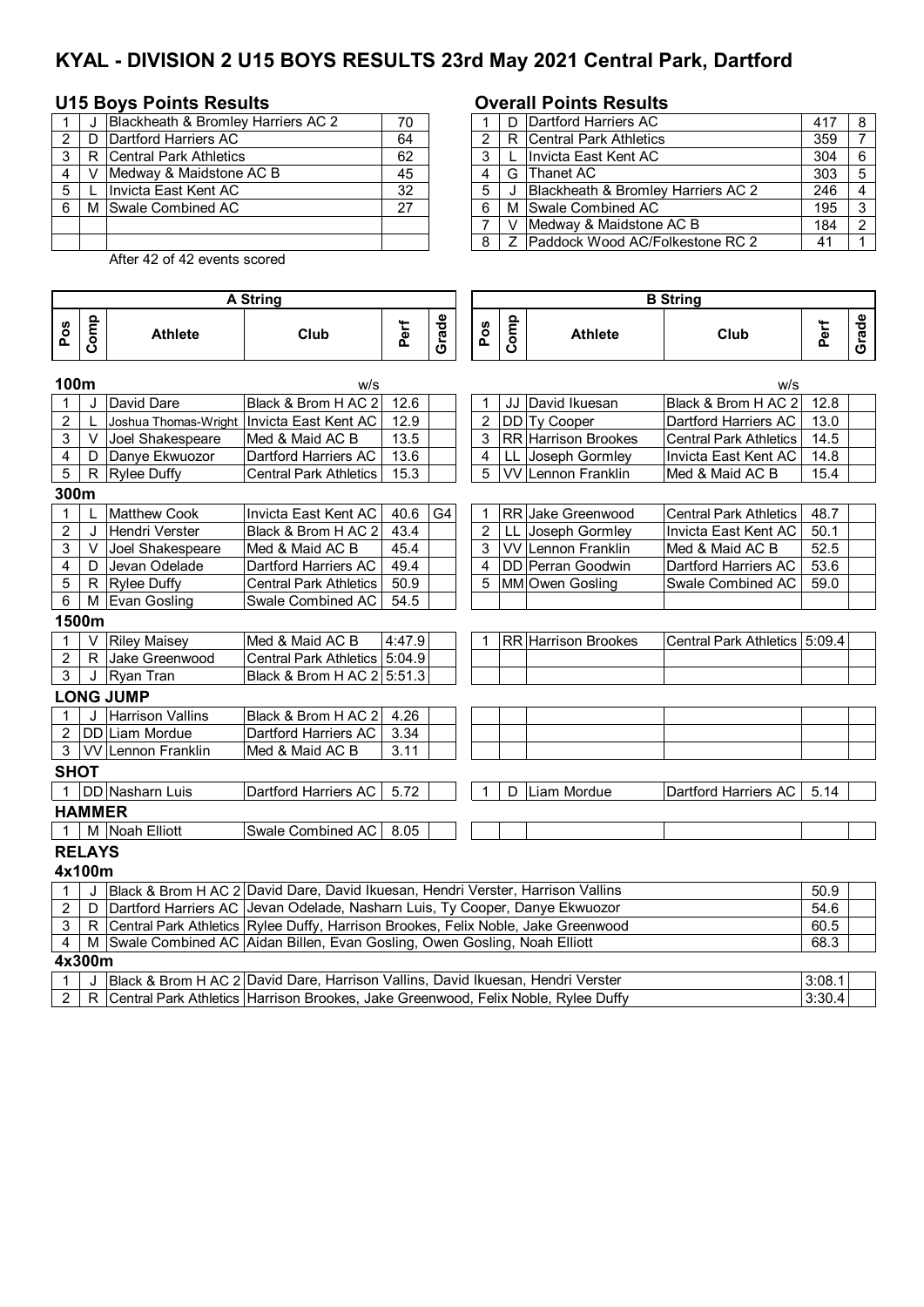# **KYAL - DIVISION 2 U15 BOYS RESULTS 23rd May 2021 Central Park, Dartford**

## **U15 Boys Points Results Overall Points Results**

|   |   | Blackheath & Bromley Harriers AC 2 | 70 |   | D Dartford Harriers AC             |
|---|---|------------------------------------|----|---|------------------------------------|
|   | D | Dartford Harriers AC               | 64 |   | R Central Park Athletics           |
| ຈ |   | R Central Park Athletics           | 62 | ົ | Invicta East Kent AC               |
|   |   | IMedway & Maidstone AC B           | 45 |   | G Thanet AC                        |
| 5 |   | Invicta East Kent AC               | 32 | 5 | Blackheath & Bromley Harriers AC 2 |
|   |   | M Swale Combined AC                | 27 | 6 | M Swale Combined AC                |
|   |   |                                    |    |   | Medway & Maidstone AC B            |
|   |   |                                    |    | я | Paddock Wood AC/Folkestone RC 2    |

|       | Blackheath & Bromley Harriers AC 2 | 70 |  | D Dartford Harriers AC             | 417 | 8  |
|-------|------------------------------------|----|--|------------------------------------|-----|----|
| 2 I D | Dartford Harriers AC               | 64 |  | R Central Park Athletics           | 359 |    |
| R     | Central Park Athletics             | 62 |  | L Invicta East Kent AC             | 304 | -6 |
|       | Medway & Maidstone AC B            | 45 |  | G Thanet AC                        | 303 | 5  |
|       | Invicta East Kent AC               | 32 |  | Blackheath & Bromley Harriers AC 2 | 246 |    |
|       | M Swale Combined AC                | 27 |  | M Swale Combined AC                | 195 | 3  |
|       |                                    |    |  | V Medway & Maidstone AC B          | 184 | ົ  |
|       |                                    |    |  | Z Paddock Wood AC/Folkestone RC 2  | 41  |    |

After 42 of 42 events scored

|                |               |                                                                                     | <b>A String</b>               |        |       |                |      |                            | <b>B</b> String               |      |       |  |  |
|----------------|---------------|-------------------------------------------------------------------------------------|-------------------------------|--------|-------|----------------|------|----------------------------|-------------------------------|------|-------|--|--|
| Pos            | Comp          | <b>Athlete</b>                                                                      | Club                          | Perf   | Grade | Pos            | Comp | <b>Athlete</b>             | Club                          | Perf | Grade |  |  |
| 100m           |               |                                                                                     | w/s                           |        |       |                |      |                            | w/s                           |      |       |  |  |
| 1              | J             | David Dare                                                                          | Black & Brom H AC 2           | 12.6   |       |                | JJ   | David Ikuesan              | Black & Brom H AC 2           | 12.8 |       |  |  |
| $\overline{c}$ | L             | Joshua Thomas-Wright                                                                | Invicta East Kent AC          | 12.9   |       | $\overline{2}$ |      | DD Ty Cooper               | Dartford Harriers AC          | 13.0 |       |  |  |
| 3              | V             | Joel Shakespeare                                                                    | Med & Maid AC B               | 13.5   |       | 3              |      | <b>RR</b> Harrison Brookes | <b>Central Park Athletics</b> | 14.5 |       |  |  |
| 4              | D             | Danye Ekwuozor                                                                      | Dartford Harriers AC          | 13.6   |       | 4              |      | LL Joseph Gormley          | Invicta East Kent AC          | 14.8 |       |  |  |
| 5              |               | R Rylee Duffy                                                                       | <b>Central Park Athletics</b> | 15.3   |       | 5              |      | VV Lennon Franklin         | Med & Maid AC B               | 15.4 |       |  |  |
| 300m           |               |                                                                                     |                               |        |       |                |      |                            |                               |      |       |  |  |
| $\mathbf 1$    | L             | <b>Matthew Cook</b>                                                                 | Invicta East Kent AC          | 40.6   | G4    | 1              |      | <b>RR</b> Jake Greenwood   | <b>Central Park Athletics</b> | 48.7 |       |  |  |
| $\overline{c}$ | J             | Hendri Verster                                                                      | Black & Brom H AC 2           | 43.4   |       | $\overline{2}$ | LL.  | Joseph Gormley             | Invicta East Kent AC          | 50.1 |       |  |  |
| 3              | V             | Joel Shakespeare                                                                    | Med & Maid AC B               | 45.4   |       | 3              |      | <b>VV</b> Lennon Franklin  | Med & Maid AC B               | 52.5 |       |  |  |
| 4              | D             | Jevan Odelade                                                                       | Dartford Harriers AC          | 49.4   |       | 4              |      | <b>DD</b> Perran Goodwin   | Dartford Harriers AC          | 53.6 |       |  |  |
| 5              |               | R Rylee Duffy                                                                       | <b>Central Park Athletics</b> | 50.9   |       | 5              |      | MM Owen Gosling            | Swale Combined AC             | 59.0 |       |  |  |
| 6              |               | M Evan Gosling                                                                      | Swale Combined AC             | 54.5   |       |                |      |                            |                               |      |       |  |  |
|                | 1500m         |                                                                                     |                               |        |       |                |      |                            |                               |      |       |  |  |
| 1              | V             | <b>Riley Maisey</b>                                                                 | Med & Maid AC B               | 4:47.9 |       |                |      | <b>RR</b> Harrison Brookes | Central Park Athletics 5:09.4 |      |       |  |  |
| 2              | R.            | Jake Greenwood                                                                      | Central Park Athletics 5:04.9 |        |       |                |      |                            |                               |      |       |  |  |
| 3              |               | J Ryan Tran                                                                         | Black & Brom H AC 2 5:51.3    |        |       |                |      |                            |                               |      |       |  |  |
|                |               | <b>LONG JUMP</b>                                                                    |                               |        |       |                |      |                            |                               |      |       |  |  |
|                | $\cdot$       | <b>Harrison Vallins</b>                                                             | Black & Brom H AC 2           | 4.26   |       |                |      |                            |                               |      |       |  |  |
| 2              |               | DD Liam Mordue                                                                      | Dartford Harriers AC          | 3.34   |       |                |      |                            |                               |      |       |  |  |
| $\mathbf{3}$   |               | <b>VV</b> Lennon Franklin                                                           | Med & Maid AC B               | 3.11   |       |                |      |                            |                               |      |       |  |  |
| <b>SHOT</b>    |               |                                                                                     |                               |        |       |                |      |                            |                               |      |       |  |  |
| $\mathbf 1$    |               | <b>DD</b> Nasharn Luis                                                              | Dartford Harriers AC          | 5.72   |       | 1              | D.   | Liam Mordue                | Dartford Harriers AC          | 5.14 |       |  |  |
|                | <b>HAMMER</b> |                                                                                     |                               |        |       |                |      |                            |                               |      |       |  |  |
| $\mathbf 1$    |               | M Noah Elliott                                                                      | Swale Combined AC             | 8.05   |       |                |      |                            |                               |      |       |  |  |
|                | <b>RELAYS</b> |                                                                                     |                               |        |       |                |      |                            |                               |      |       |  |  |
|                | 4x100m        |                                                                                     |                               |        |       |                |      |                            |                               |      |       |  |  |
| 1              | J             | Black & Brom H AC 2 David Dare, David Ikuesan, Hendri Verster, Harrison Vallins     |                               |        |       |                |      |                            |                               | 50.9 |       |  |  |
| $\overline{c}$ |               | D Dartford Harriers AC Jevan Odelade, Nasharn Luis, Ty Cooper, Danye Ekwuozor       |                               |        |       |                |      |                            |                               | 54.6 |       |  |  |
| 3              |               | R Central Park Athletics Rylee Duffy, Harrison Brookes, Felix Noble, Jake Greenwood |                               |        |       |                |      |                            |                               | 60.5 |       |  |  |
| 4              |               | M Swale Combined AC Aidan Billen, Evan Gosling, Owen Gosling, Noah Elliott          |                               |        |       |                |      |                            |                               | 68.3 |       |  |  |
|                | $Av$ 200m     |                                                                                     |                               |        |       |                |      |                            |                               |      |       |  |  |

**4x300m**

|  | Black<br>$\Lambda$ $\cap$<br>- Brom | Vallins<br>Dare.<br>Verster<br>Harrison<br>David<br>David<br>. Ikuesan<br>Hendri                  | 3:08.          |  |
|--|-------------------------------------|---------------------------------------------------------------------------------------------------|----------------|--|
|  | Athletics<br>Park<br>raı            | Outfv<br><b>Noble</b><br>Jake<br><b>Harrison</b><br><b>Brookes</b><br>Felix<br>Greenwood<br>Rvlee | חפי<br>. J.JU. |  |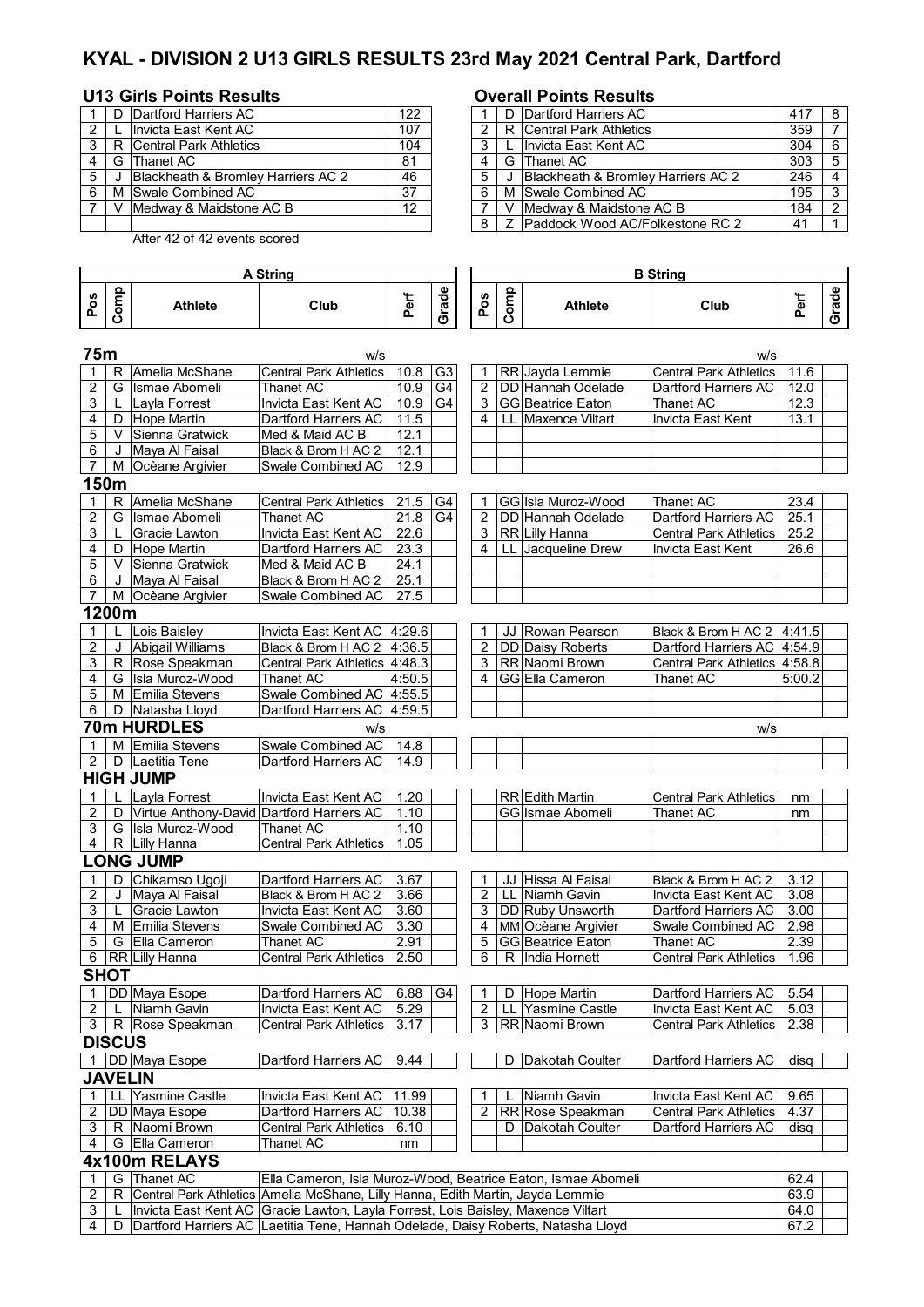# **KYAL - DIVISION 2 U13 GIRLS RESULTS 23rd May 2021 Central Park, Dartford**

## **U13 Girls Points Results Overall Points Results**

|   |   | Dartford Harriers AC                          | 122 |   | D Dartford Harriers AC                         |
|---|---|-----------------------------------------------|-----|---|------------------------------------------------|
|   |   | Ilnvicta East Kent AC                         | 107 |   | R Central Park Athletics                       |
|   |   | R Central Park Athletics                      | 104 |   | L Invicta East Kent AC                         |
|   | G | <b>Thanet AC</b>                              | 81  |   | G Thanet AC                                    |
| 5 |   | <b>Blackheath &amp; Bromley Harriers AC 2</b> | 46  | 5 | <b>IBlackheath &amp; Bromlev Harriers AC 2</b> |
|   |   | M Swale Combined AC                           | 37  |   | M Swale Combined AC                            |
|   |   | Medway & Maidstone AC B                       | 12  |   | V IMedway & Maidstone AC B                     |
|   |   |                                               |     |   | 8   Z Paddock Wood AC/Folkestone RC 2          |

|                |   |                                    |     |  | o voitui i viitto itoogitto        |     |     |
|----------------|---|------------------------------------|-----|--|------------------------------------|-----|-----|
|                |   | D Dartford Harriers AC             | 122 |  | D Dartford Harriers AC             | 417 |     |
| 2              |   | Invicta East Kent AC               | 107 |  | R Central Park Athletics           | 359 |     |
| 3 I            |   | R Central Park Athletics           | 104 |  | Ilnvicta East Kent AC              | 304 | - 6 |
| 4              |   | G Thanet AC                        | 81  |  | G Thanet AC                        | 303 |     |
| 5              |   | Blackheath & Bromley Harriers AC 2 | 46  |  | Blackheath & Bromley Harriers AC 2 | 246 |     |
| 6              | м | Swale Combined AC                  | 37  |  | M Swale Combined AC                | 195 |     |
| $\overline{ }$ |   | V IMedway & Maidstone AC B         | 12  |  | Medway & Maidstone AC B            | 184 |     |
|                |   |                                    |     |  | Z Paddock Wood AC/Folkestone RC 2  | 41  |     |

After 42 of 42 events scored

| $\bullet$<br>௨<br>௨<br>ے<br><b>S</b><br><b>S</b><br>Ο<br><b>Athlete</b><br><b>Athlete</b><br>Club<br>-<br>Club<br>$\overline{\mathbf{a}}$<br>C)<br>ത<br>-<br>.<br>п.<br>п.<br>-<br>ъ |   | . Strina | <b>B</b> String |   |  |  |  |  |                         |  |
|--------------------------------------------------------------------------------------------------------------------------------------------------------------------------------------|---|----------|-----------------|---|--|--|--|--|-------------------------|--|
|                                                                                                                                                                                      | ن |          |                 | ত |  |  |  |  | $\omega$<br>О<br>w<br>ט |  |

| 75m<br>w/s<br>w/s |                |                                                                                  |                                                              |        |                |                |    |                          |                               |        |  |
|-------------------|----------------|----------------------------------------------------------------------------------|--------------------------------------------------------------|--------|----------------|----------------|----|--------------------------|-------------------------------|--------|--|
| 1                 | R              | Amelia McShane                                                                   | <b>Central Park Athletics</b>                                | 10.8   | G <sub>3</sub> | 1              |    | RR Jayda Lemmie          | <b>Central Park Athletics</b> | 11.6   |  |
| $\overline{2}$    | G              | Ismae Abomeli                                                                    | Thanet AC                                                    | 10.9   | G <sub>4</sub> | $\overline{c}$ |    | DD Hannah Odelade        | Dartford Harriers AC          | 12.0   |  |
| 3                 | L              | Layla Forrest                                                                    | Invicta East Kent AC                                         | 10.9   | G <sub>4</sub> | 3              |    | <b>GG</b> Beatrice Eaton | <b>Thanet AC</b>              | 12.3   |  |
| 4                 | D              | Hope Martin                                                                      | Dartford Harriers AC                                         | 11.5   |                | 4              |    | LL Maxence Viltart       | Invicta East Kent             | 13.1   |  |
| 5                 | V              | Sienna Gratwick                                                                  | Med & Maid AC B                                              | 12.1   |                |                |    |                          |                               |        |  |
| 6                 | J              | Maya Al Faisal                                                                   | Black & Brom H AC 2                                          | 12.1   |                |                |    |                          |                               |        |  |
| $\overline{7}$    | М              | Ocèane Argivier                                                                  | Swale Combined AC                                            | 12.9   |                |                |    |                          |                               |        |  |
| 150m              |                |                                                                                  |                                                              |        |                |                |    |                          |                               |        |  |
| 1                 | R              | Amelia McShane                                                                   | <b>Central Park Athletics</b>                                | 21.5   | G4             | 1              |    | GG Isla Muroz-Wood       | Thanet AC                     | 23.4   |  |
| $\overline{2}$    | G              | Ismae Abomeli                                                                    | Thanet AC                                                    | 21.8   | G4             | $\overline{2}$ |    | <b>DD</b> Hannah Odelade | <b>Dartford Harriers AC</b>   | 25.1   |  |
| 3                 | L              | Gracie Lawton                                                                    | Invicta East Kent AC                                         | 22.6   |                | 3              |    | RR Lilly Hanna           | <b>Central Park Athletics</b> | 25.2   |  |
| 4                 | D              | Hope Martin                                                                      | Dartford Harriers AC                                         | 23.3   |                | 4              |    | LL Jacqueline Drew       | <b>Invicta East Kent</b>      | 26.6   |  |
| 5                 | V              | Sienna Gratwick                                                                  | Med & Maid AC B                                              | 24.1   |                |                |    |                          |                               |        |  |
| 6                 | J              | Maya Al Faisal                                                                   | Black & Brom H AC 2                                          | 25.1   |                |                |    |                          |                               |        |  |
| $\overline{7}$    | M              | Ocèane Argivier                                                                  | Swale Combined AC                                            | 27.5   |                |                |    |                          |                               |        |  |
|                   | 1200m          |                                                                                  |                                                              |        |                |                |    |                          |                               |        |  |
| 1                 |                | Lois Baisley                                                                     | Invicta East Kent AC   4:29.6                                |        |                | 1              | JJ | Rowan Pearson            | Black & Brom H AC 2   4:41.5  |        |  |
| $\overline{2}$    | J              | Abigail Williams                                                                 | Black & Brom H AC 2   4:36.5                                 |        |                | 2              |    | DD Daisy Roberts         | Dartford Harriers AC   4:54.9 |        |  |
| 3                 |                | R Rose Speakman                                                                  | Central Park Athletics 4:48.3                                |        |                | 3              |    | RR Naomi Brown           | Central Park Athletics 4:58.8 |        |  |
| 4                 |                | G Isla Muroz-Wood                                                                | Thanet AC                                                    | 4:50.5 |                | 4              |    | <b>GGEIIa Cameron</b>    | <b>Thanet AC</b>              | 5:00.2 |  |
| 5                 |                | M Emilia Stevens                                                                 | Swale Combined AC 4:55.5                                     |        |                |                |    |                          |                               |        |  |
| 6                 |                | D Natasha Lloyd                                                                  | Dartford Harriers AC 4:59.5                                  |        |                |                |    |                          |                               |        |  |
|                   |                | 70m HURDLES                                                                      | w/s                                                          |        |                |                |    |                          | w/s                           |        |  |
| 1                 |                | M Emilia Stevens                                                                 | <b>Swale Combined AC</b>                                     | 14.8   |                |                |    |                          |                               |        |  |
| $\overline{2}$    | D              | Laetitia Tene                                                                    | Dartford Harriers AC                                         | 14.9   |                |                |    |                          |                               |        |  |
|                   |                | <b>HIGH JUMP</b>                                                                 |                                                              |        |                |                |    |                          |                               |        |  |
| 1                 |                | Layla Forrest                                                                    | Invicta East Kent AC                                         | 1.20   |                |                |    | RR Edith Martin          | <b>Central Park Athletics</b> | nm     |  |
| 2                 | D              | Virtue Anthony-David Dartford Harriers AC                                        |                                                              | 1.10   |                |                |    | GG Ismae Abomeli         | <b>Thanet AC</b>              | nm     |  |
| 3                 |                | G Isla Muroz-Wood                                                                | <b>Thanet AC</b>                                             | 1.10   |                |                |    |                          |                               |        |  |
| 4                 |                | R Lilly Hanna                                                                    | <b>Central Park Athletics</b>                                | 1.05   |                |                |    |                          |                               |        |  |
|                   |                | <b>LONG JUMP</b>                                                                 |                                                              |        |                |                |    |                          |                               |        |  |
| 1                 | D              | Chikamso Ugoji                                                                   | Dartford Harriers AC                                         | 3.67   |                | 1              |    | JJ Hissa Al Faisal       | Black & Brom H AC 2           | 3.12   |  |
| $\boldsymbol{2}$  | J              | Maya Al Faisal                                                                   | Black & Brom H AC 2                                          | 3.66   |                | $\overline{2}$ |    | LL Niamh Gavin           | Invicta East Kent AC          | 3.08   |  |
| 3                 |                | <b>Gracie Lawton</b>                                                             | Invicta East Kent AC                                         | 3.60   |                | 3              |    | <b>DD</b> Ruby Unsworth  | Dartford Harriers AC          | 3.00   |  |
| 4                 | м              | <b>Emilia Stevens</b>                                                            | Swale Combined AC                                            | 3.30   |                | 4              |    | MM Ocèane Argivier       | Swale Combined AC             | 2.98   |  |
| 5                 | G              | Ella Cameron                                                                     | <b>Thanet AC</b>                                             | 2.91   |                | 5              |    | <b>GG</b> Beatrice Eaton | <b>Thanet AC</b>              | 2.39   |  |
| 6                 |                | RR Lilly Hanna                                                                   | <b>Central Park Athletics</b>                                | 2.50   |                | 6              |    | R India Hornett          | <b>Central Park Athletics</b> | 1.96   |  |
| <b>SHOT</b>       |                |                                                                                  |                                                              |        |                |                |    |                          |                               |        |  |
| 1                 |                | DD Maya Esope                                                                    | Dartford Harriers AC                                         | 6.88   | G4             | 1              | D  | <b>Hope Martin</b>       | Dartford Harriers AC          | 5.54   |  |
| 2                 | L              | Niamh Gavin                                                                      | Invicta East Kent AC                                         | 5.29   |                | 2              | LL | <b>Yasmine Castle</b>    | Invicta East Kent AC          | 5.03   |  |
| $\overline{3}$    |                | R Rose Speakman                                                                  | <b>Central Park Athletics</b>                                | 3.17   |                | 3              |    | RR Naomi Brown           | <b>Central Park Athletics</b> | 2.38   |  |
|                   | <b>DISCUS</b>  |                                                                                  |                                                              |        |                |                |    |                          |                               |        |  |
| $\overline{1}$    |                | DD Maya Esope                                                                    | Dartford Harriers AC                                         | 9.44   |                |                | D  | Dakotah Coulter          | Dartford Harriers AC          | disg   |  |
|                   | <b>JAVELIN</b> |                                                                                  |                                                              |        |                |                |    |                          |                               |        |  |
| 1                 |                | LL Yasmine Castle                                                                | Invicta East Kent AC                                         | 11.99  |                |                |    | Niamh Gavin              | Invicta East Kent AC          | 9.65   |  |
| 2                 |                | DD Maya Esope                                                                    | Dartford Harriers AC   10.38                                 |        |                | 2              |    | RR Rose Speakman         | Central Park Athletics        | 4.37   |  |
| 3                 |                | R Naomi Brown                                                                    | <b>Central Park Athletics</b>                                | 6.10   |                |                | D  | Dakotah Coulter          | Dartford Harriers AC          | disq   |  |
| 4                 |                | G Ella Cameron                                                                   | Thanet AC                                                    | nm     |                |                |    |                          |                               |        |  |
|                   |                | 4x100m RELAYS                                                                    |                                                              |        |                |                |    |                          |                               |        |  |
| 1                 | G              | Thanet AC                                                                        | Ella Cameron, Isla Muroz-Wood, Beatrice Eaton, Ismae Abomeli |        |                |                |    |                          |                               | 62.4   |  |
| 2                 | R              | Central Park Athletics Amelia McShane, Lilly Hanna, Edith Martin, Jayda Lemmie   |                                                              |        |                |                |    |                          |                               | 63.9   |  |
|                   |                |                                                                                  |                                                              |        |                |                |    |                          |                               | 64.0   |  |
| 3                 |                | Invicta East Kent AC Gracie Lawton, Layla Forrest, Lois Baisley, Maxence Viltart |                                                              |        |                |                |    |                          |                               |        |  |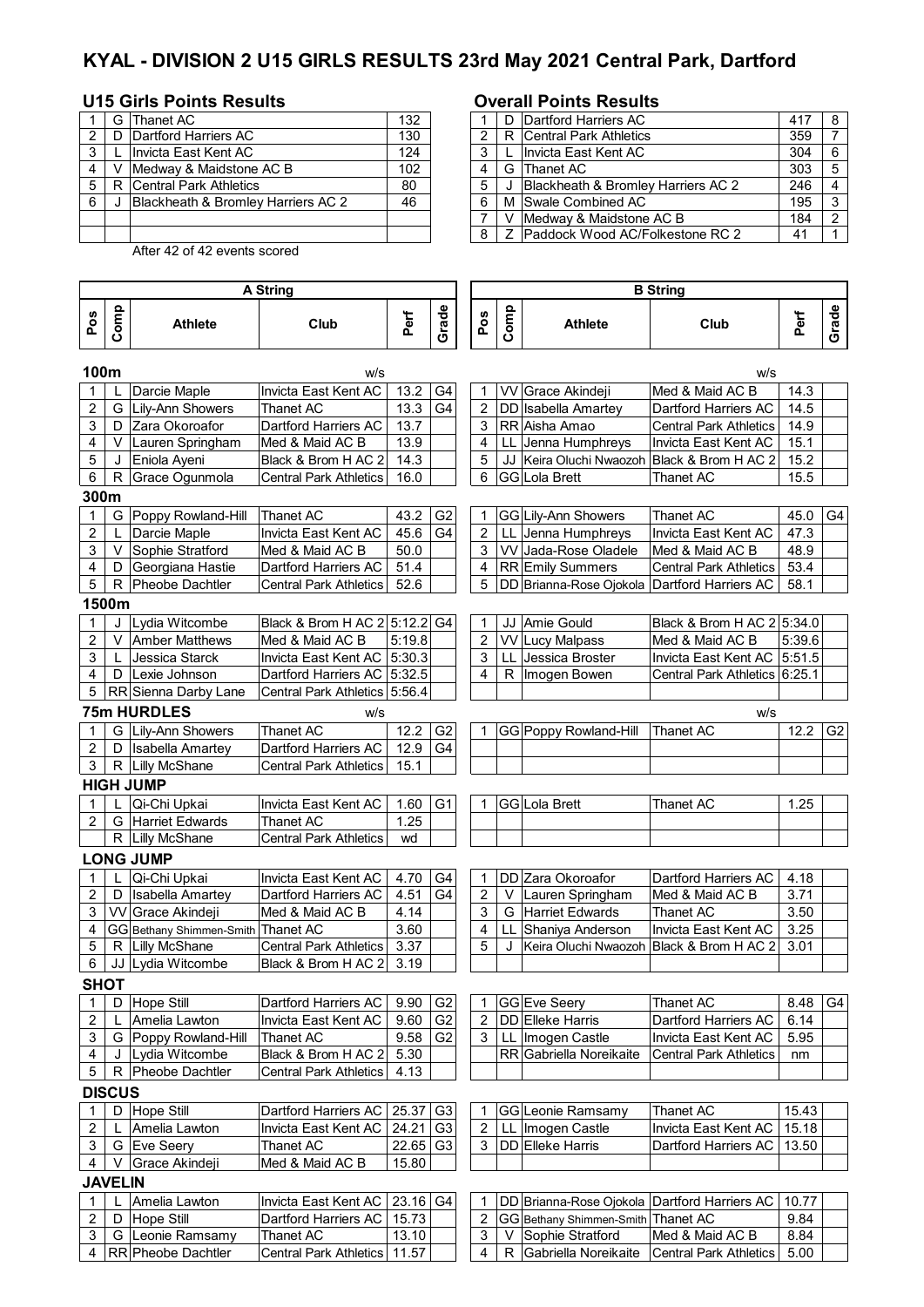## **KYAL - DIVISION 2 U15 GIRLS RESULTS 23rd May 2021 Central Park, Dartford**

### **U15 Girls Points Results Overall Points Results**

|   | G  | Thanet AC                                     | 132 |    | D Dartford Harriers AC             |
|---|----|-----------------------------------------------|-----|----|------------------------------------|
|   | D. | Dartford Harriers AC                          | 130 |    | R Central Park Athletics           |
| 3 |    | Invicta East Kent AC                          | 124 | 3  | Invicta East Kent AC               |
|   |    | Medway & Maidstone AC B                       | 102 | 4  | G Thanet AC                        |
| 5 | R  | <b>Central Park Athletics</b>                 | 80  | 5  | Blackheath & Bromley Harriers AC 2 |
| 6 |    | <b>Blackheath &amp; Bromley Harriers AC 2</b> | 46  | -6 | M Swale Combined AC                |
|   |    |                                               |     |    | V Medway & Maidstone AC B          |
|   |    |                                               |     | 8  | Z Paddock Wood AC/Folkestone RC 2  |

After 42 of 42 events scored

### **Pos Comp Athlete Club Perf Grade Pos Comp Athlete Club Perf Grade 100m** w/s w/s Darcie Maple Invicta East Kent AC | 13.2 | G4 | | 1 | VV Grace Akindeji Med & Maid AC B | 14.3 2 G Lily-Ann Showers Thanet AC 13.3 G4 2 DD Isabella Amartey Dartford Harriers AC 14.5 3 | D | Zara Okoroafor | Dartford Harriers AC | 13.7 | | | | 3 | RR Aisha Amao | Central Park Athletics | 14.9 4 | V | Lauren Springham | Med & Maid AC B | 13.9 | | | 4 | LL | Jenna Humphreys | Invicta East Kent AC | 15.1 5 J Eniola Ayeni Black & Brom H AC 2 14.3 | 5 JJ Keira Oluchi Nwaozoh Black & Brom H AC 2 15.2<br>6 R Grace Ogunmola Central Park Athletics 16.0 | 6 GG Lola Brett | Thanet AC | 15.5 6 R Grace Ogunmola Central Park Athletics 16.0 6 GG Lola Brett Thanet AC 15.5 **300m** 1 G Poppy Rowland-Hill Thanet AC 143.2 G2 1 GG Lily-Ann Showers Thanet AC 45.0 G4<br>2 LL Darcie Maple 1nvicta East Kent AC 45.6 G4 2 LL Jenna Humphreys Invicta East Kent AC 47.3 2 L Darcie Maple Invicta East Kent AC 45.6 G4 2 LL Jenna Humphreys Invicta East Kent AC<br>3 V Sophie Stratford Med & Maid AC B 50.0 3 VV Jada-Rose Oladele Med & Maid AC B 3 V Sophie Stratford Med & Maid AC B 50.0 3 VV Jada-Rose Oladele Med & Maid AC B 48.9 4 | D Georgiana Hastie | Dartford Harriers AC | 51.4 | | | | 4 | RR Emily Summers | Central Park Athletics | 53.4 5 R Pheobe Dachtler Central Park Athletics 52.6 5 DD Brianna-Rose Ojokola Dartford Harriers AC 58.1 **1500m** 1 J Lydia Witcombe Black & Brom H AC 2 5:12.2 G4 1 JJ Amie Gould Black & Brom H AC 2 5:34.0 2 V Amber Matthews Med & Maid AC B 5:19.8 | 2 VV Lucy Malpass Med & Maid AC B 5:39.6 3 L Jessica Starck | Invicta East Kent AC 5:30.3 | 3 LL Jessica Broster | Invicta East Kent AC 5:51.5 4 D Lexie Johnson Dartford Harriers AC 5:32.5 | | | 4 | R | Imogen Bowen Central Park Athletics 6:25.1 5 RR Sienna Darby Lane Central Park Athletics 5:56.4 **75m HURDLES** w/s w/s 1 G Lily-Ann Showers Thanet AC 12.2 G2 1 GG Poppy Rowland-Hill Thanet AC 12.2 G2 2 | D | Isabella Amartey | Dartford Harriers AC | 12.9 | G4 3 | R Lilly McShane | Central Park Athletics | 15.1 **HIGH JUMP** 1 | L | Qi-Chi Upkai | Invicta East Kent AC | 1.60 | G1 | | 1 | GG | Lola Brett | Thanet AC | 1.25 2 G Harriet Edwards Thanet AC 1.25 R Lilly McShane Central Park Athletics | wd **LONG JUMP** 1 Qi-Chi Upkai Invicta East Kent AC 4.70 G4 1 DD Zara Okoroafor Dartford Harriers AC 4.18<br>1 D Isabella Amartev Dartford Harriers AC 4.51 G4 2 V Lauren Springham Med & Maid AC B 3.71 2 D Isabella Amartey Dartford Harriers AC 4.51 G4 2 V Lauren Springham Med & Maid AC B 3.71 3 VV Grace Akindeji Med & Maid AC B 4.14 3 G Harriet Edwards Thanet AC 3.50 4 GG Bethany Shimmen-Smith Thanet AC 3.60 4 LL Shaniya Anderson | Invicta East Kent AC 3.25 5 R Lilly McShane Central Park Athletics 3.37 5 J Keira Oluchi Nwaozoh Black & Brom H AC 2 3.01 6 JJ Lydia Witcombe Black & Brom H AC 2 3.19 **SHOT** 1 D Hope Still **Dartford Harriers AC 9.90 G2 1 GG Eve Seery** Thanet AC 8.48 G4 2 L Amelia Lawton | Invicta East Kent AC | 9.60 G2 | 2 DD Elleke Harris | Dartford Harriers AC | 6.14 3 | G Poppy Rowland-Hill | Thanet AC | 9.58 | G2 | 3 | LL | Imogen Castle | Invicta East Kent AC | 5.95 4 J Lydia Witcombe Black & Brom H AC 2 5.30 RR Gabriella Noreikaite Central Park Athletics nm 5 | R Pheobe Dachtler | Central Park Athletics | 4.13 **DISCUS** 1 D Hope Still **Dartford Harriers AC 25.37 G3** 1 GG Leonie Ramsamy Thanet AC 15.43 2 L Amelia Lawton | Invicta East Kent AC 24.21 G3 | 2 LL Imogen Castle | Invicta East Kent AC | 15.18 3 G Eve Seery Thanet AC 22.65 G3 3 DD Elleke Harris Dartford Harriers AC 13.50 4 V Grace Akindeji Med & Maid AC B 15.80 **JAVELIN** 1 Amelia Lawton | Invicta East Kent AC 23.16 G4 | 1 DD Brianna-Rose Ojokola Dartford Harriers AC 10.77 2 D Hope Still Dartford Harriers AC 15.73 | 2 GG Bethany Shimmen-Smith Thanet AC 9.84 3 G Leonie Ramsamy Thanet AC 13.10 3 V Sophie Stratford Med & Maid AC B 8.84 4 RR Pheobe Dachtler Central Park Athletics 11.57 | | 4 R Gabriella Noreikaite Central Park Athletics 5.00 **A String B String**

|     | G   | Thanet AC                          | 132 |  |  |  | D Dartford Harriers AC             | 417 | -8 |  |
|-----|-----|------------------------------------|-----|--|--|--|------------------------------------|-----|----|--|
| 2 I | ID. | Dartford Harriers AC               | 130 |  |  |  | R Central Park Athletics           | 359 |    |  |
| 3   |     | Invicta East Kent AC               | 124 |  |  |  | Invicta East Kent AC               | 304 | -6 |  |
| 4   |     | Medway & Maidstone AC B            | 102 |  |  |  | G Thanet AC                        | 303 | -5 |  |
| 5   | R   | Central Park Athletics             | 80  |  |  |  | Blackheath & Bromley Harriers AC 2 | 246 |    |  |
| 6   |     | Blackheath & Bromley Harriers AC 2 | 46  |  |  |  | M Swale Combined AC                | 195 | -3 |  |
|     |     |                                    |     |  |  |  | Medway & Maidstone AC B            | 184 | ົ  |  |
|     |     |                                    |     |  |  |  | Z Paddock Wood AC/Folkestone RC 2  | 41  |    |  |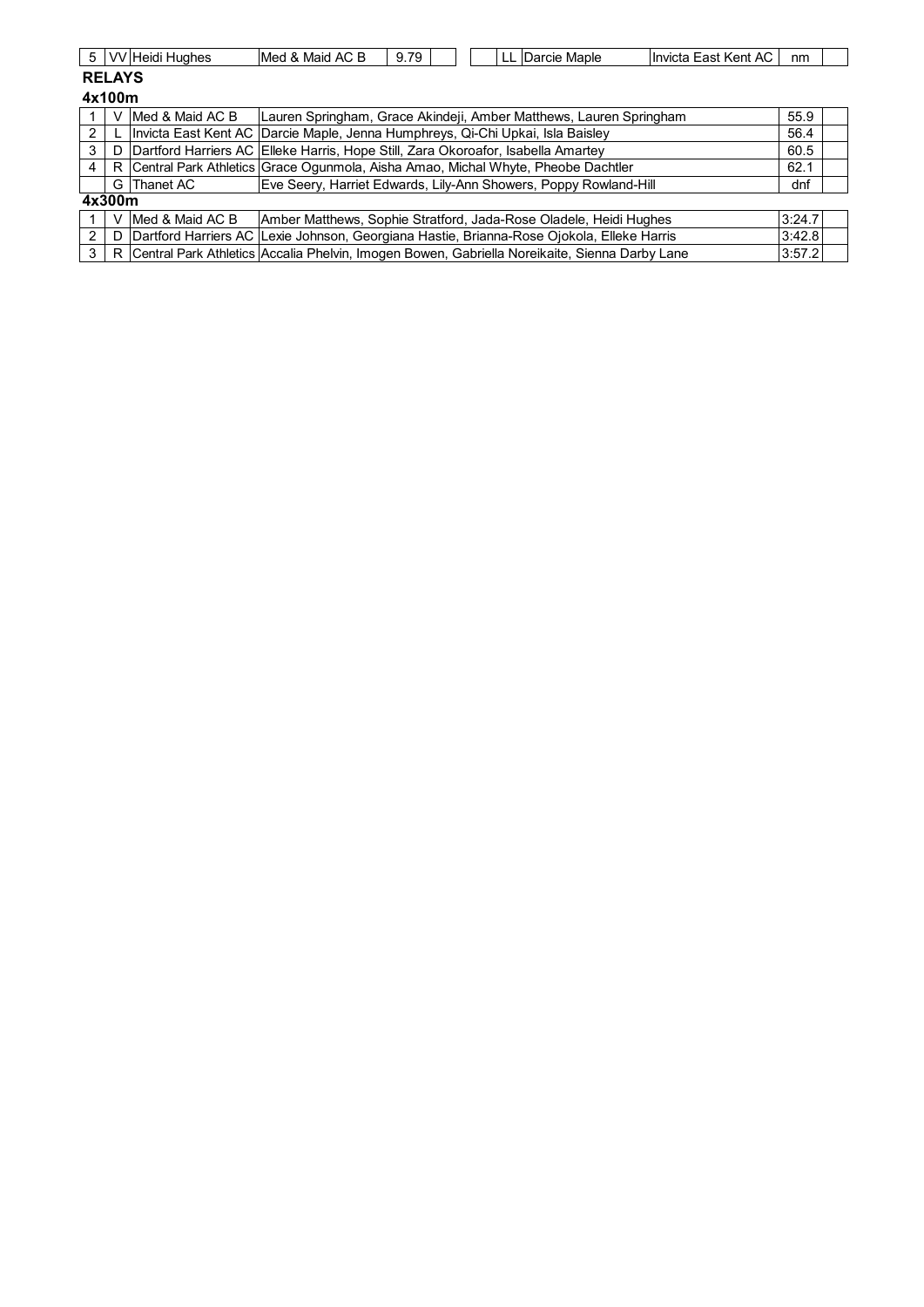|               |                                                                                       | 5   VV Heidi Hughes | Med & Maid AC B                                                                               | 9.79 |  |  | LL   | Darcie Maple | Invicta East Kent AC | nm     |  |
|---------------|---------------------------------------------------------------------------------------|---------------------|-----------------------------------------------------------------------------------------------|------|--|--|------|--------------|----------------------|--------|--|
| <b>RELAYS</b> |                                                                                       |                     |                                                                                               |      |  |  |      |              |                      |        |  |
| 4x100m        |                                                                                       |                     |                                                                                               |      |  |  |      |              |                      |        |  |
|               |                                                                                       | Med & Maid AC B     | Lauren Springham, Grace Akindeji, Amber Matthews, Lauren Springham                            |      |  |  |      |              |                      | 55.9   |  |
| 2             |                                                                                       |                     | Invicta East Kent AC Darcie Maple, Jenna Humphreys, Qi-Chi Upkai, Isla Baisley                |      |  |  |      |              |                      | 56.4   |  |
| 3             | Dartford Harriers AC Elleke Harris, Hope Still, Zara Okoroafor, Isabella Amartey<br>D |                     |                                                                                               |      |  |  | 60.5 |              |                      |        |  |
| 4             | R                                                                                     |                     | Central Park Athletics Grace Ogunmola, Aisha Amao, Michal Whyte, Pheobe Dachtler              |      |  |  |      |              |                      | 62.1   |  |
|               |                                                                                       | G Thanet AC         | Eve Seery, Harriet Edwards, Lily-Ann Showers, Poppy Rowland-Hill                              |      |  |  |      |              |                      | dnf    |  |
|               | 4x300m                                                                                |                     |                                                                                               |      |  |  |      |              |                      |        |  |
|               |                                                                                       | Med & Maid AC B     | Amber Matthews, Sophie Stratford, Jada-Rose Oladele, Heidi Hughes                             |      |  |  |      |              |                      | 3:24.7 |  |
| 2             | D                                                                                     |                     | Dartford Harriers AC Lexie Johnson, Georgiana Hastie, Brianna-Rose Ojokola, Elleke Harris     |      |  |  |      |              |                      | 3:42.8 |  |
| 3             | R                                                                                     |                     | Central Park Athletics Accalia Phelvin, Imogen Bowen, Gabriella Noreikaite, Sienna Darby Lane |      |  |  |      |              |                      | 3:57.2 |  |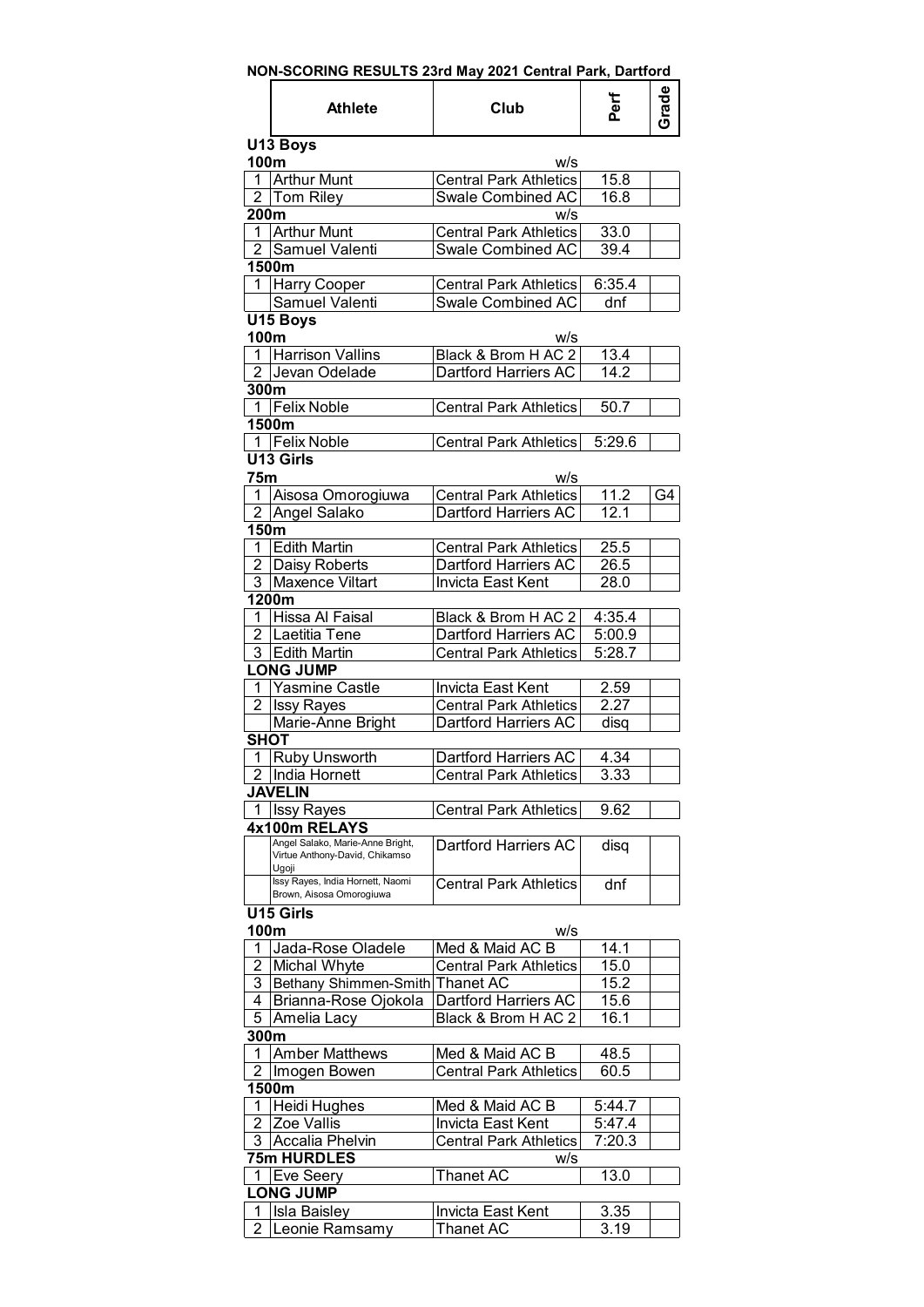| NON-SCORING RESULTS 23rd May 2021 Central Park, Dartford |                                                                             |                               |                   |       |  |  |  |
|----------------------------------------------------------|-----------------------------------------------------------------------------|-------------------------------|-------------------|-------|--|--|--|
|                                                          | <b>Athlete</b>                                                              | Club                          | Perf              | Grade |  |  |  |
| U13 Boys<br>100m<br>w/s                                  |                                                                             |                               |                   |       |  |  |  |
| 1                                                        | <b>Arthur Munt</b>                                                          | <b>Central Park Athletics</b> | $\overline{1}5.8$ |       |  |  |  |
|                                                          | 2 Tom Riley                                                                 | Swale Combined AC             | 16.8              |       |  |  |  |
| 200m                                                     |                                                                             | w/s                           |                   |       |  |  |  |
| 1                                                        | <b>Arthur Munt</b>                                                          | Central Park Athletics        | 33.0              |       |  |  |  |
|                                                          | 2 Samuel Valenti                                                            | <b>Swale Combined AC</b>      | 39.4              |       |  |  |  |
|                                                          | 1500m                                                                       |                               |                   |       |  |  |  |
|                                                          |                                                                             |                               |                   |       |  |  |  |
|                                                          | 1 Harry Cooper                                                              | <b>Central Park Athletics</b> | 6:35.4<br>dnf     |       |  |  |  |
|                                                          | Samuel Valenti                                                              | <b>Swale Combined AC</b>      |                   |       |  |  |  |
|                                                          | U15 Boys                                                                    |                               |                   |       |  |  |  |
| 100m                                                     |                                                                             | w/s                           |                   |       |  |  |  |
|                                                          | 1 Harrison Vallins                                                          | Black & Brom H AC 2           | 13.4              |       |  |  |  |
|                                                          | 2 Jevan Odelade                                                             | Dartford Harriers AC          | 14.2              |       |  |  |  |
| 300m                                                     |                                                                             |                               |                   |       |  |  |  |
|                                                          | 1 Felix Noble                                                               | <b>Central Park Athletics</b> | 50.7              |       |  |  |  |
|                                                          | 1500m                                                                       |                               |                   |       |  |  |  |
|                                                          | 1 Felix Noble                                                               | <b>Central Park Athletics</b> | 5:29.6            |       |  |  |  |
|                                                          | U13 Girls                                                                   |                               |                   |       |  |  |  |
| 75m                                                      |                                                                             | w/s                           |                   |       |  |  |  |
| 1.                                                       | Aisosa Omorogiuwa                                                           | <b>Central Park Athletics</b> | 11.2              | G4    |  |  |  |
|                                                          | 2 Angel Salako                                                              | Dartford Harriers AC          | 12.1              |       |  |  |  |
| 150m                                                     |                                                                             |                               |                   |       |  |  |  |
| 1                                                        | <b>Edith Martin</b>                                                         | <b>Central Park Athletics</b> | 25.5              |       |  |  |  |
|                                                          | 2 Daisy Roberts                                                             | Dartford Harriers AC          | 26.5              |       |  |  |  |
|                                                          | 3 Maxence Viltart                                                           | Invicta East Kent             | 28.0              |       |  |  |  |
|                                                          | 1200m                                                                       |                               |                   |       |  |  |  |
|                                                          | 1 Hissa Al Faisal                                                           | Black & Brom H AC 2           | 4:35.4            |       |  |  |  |
|                                                          | 2 Laetitia Tene                                                             | Dartford Harriers AC          | 5:00.9            |       |  |  |  |
|                                                          | 3 Edith Martin                                                              | Central Park Athletics        | 5:28.7            |       |  |  |  |
|                                                          | <b>LONG JUMP</b>                                                            |                               |                   |       |  |  |  |
| 1                                                        | <b>Yasmine Castle</b>                                                       | Invicta East Kent             | 2.59              |       |  |  |  |
| $\overline{2}$                                           | <b>Issy Rayes</b>                                                           | <b>Central Park Athletics</b> | 2.27              |       |  |  |  |
|                                                          | Marie-Anne Bright                                                           | Dartford Harriers AC          |                   |       |  |  |  |
| <b>SHOT</b>                                              |                                                                             |                               | disq              |       |  |  |  |
|                                                          |                                                                             |                               |                   |       |  |  |  |
|                                                          | 1 Ruby Unsworth                                                             | Dartford Harriers AC          | 4.34              |       |  |  |  |
|                                                          | $\overline{2}$ India Hornett                                                | <b>Central Park Athletics</b> | 3.33              |       |  |  |  |
|                                                          | <b>JAVELIN</b>                                                              |                               |                   |       |  |  |  |
|                                                          | 1   Issy Rayes                                                              | Central Park Athletics        | 9.62              |       |  |  |  |
|                                                          | 4x100m RELAYS                                                               |                               |                   |       |  |  |  |
|                                                          | Angel Salako, Marie-Anne Bright,<br>Virtue Anthony-David, Chikamso<br>Ugoji | Dartford Harriers AC          | disq              |       |  |  |  |
|                                                          | Issy Rayes, India Hornett, Naomi<br>Brown, Aisosa Omorogiuwa                | <b>Central Park Athletics</b> | dnf               |       |  |  |  |
|                                                          | U15 Girls                                                                   |                               |                   |       |  |  |  |
| 100m                                                     |                                                                             | w/s                           |                   |       |  |  |  |
| 1                                                        | Jada-Rose Oladele                                                           | Med & Maid AC B               | 14.1              |       |  |  |  |
| 2                                                        | Michal Whyte                                                                | <b>Central Park Athletics</b> | 15.0              |       |  |  |  |
| 3                                                        | Bethany Shimmen-Smith Thanet AC                                             |                               | 15.2              |       |  |  |  |
| 4                                                        | Brianna-Rose Ojokola                                                        | Dartford Harriers AC          | 15.6              |       |  |  |  |
| 5                                                        | Amelia Lacy                                                                 | Black & Brom H AC 2           | 16.1              |       |  |  |  |
| 300m                                                     |                                                                             |                               |                   |       |  |  |  |
| 1                                                        | <b>Amber Matthews</b>                                                       | Med & Maid AC B               | 48.5              |       |  |  |  |
| 2                                                        |                                                                             | <b>Central Park Athletics</b> | 60.5              |       |  |  |  |
|                                                          | Imogen Bowen<br>1500m                                                       |                               |                   |       |  |  |  |
| 1                                                        |                                                                             |                               |                   |       |  |  |  |
|                                                          | Heidi Hughes                                                                | Med & Maid AC B               | 5:44.7            |       |  |  |  |
| 2                                                        | Zoe Vallis                                                                  | Invicta East Kent             | 5:47.4            |       |  |  |  |
| 3                                                        | <b>Accalia Phelvin</b>                                                      | <b>Central Park Athletics</b> | 7:20.3            |       |  |  |  |
|                                                          | 75m HURDLES                                                                 | w/s                           |                   |       |  |  |  |
| 1                                                        | Eve Seery                                                                   | <b>Thanet AC</b>              | 13.0              |       |  |  |  |
|                                                          | <b>LONG JUMP</b>                                                            |                               |                   |       |  |  |  |
| 1                                                        | Isla Baisley                                                                | Invicta East Kent             | 3.35              |       |  |  |  |
| 2                                                        | Leonie Ramsamy                                                              | Thanet AC                     | 3.19              |       |  |  |  |